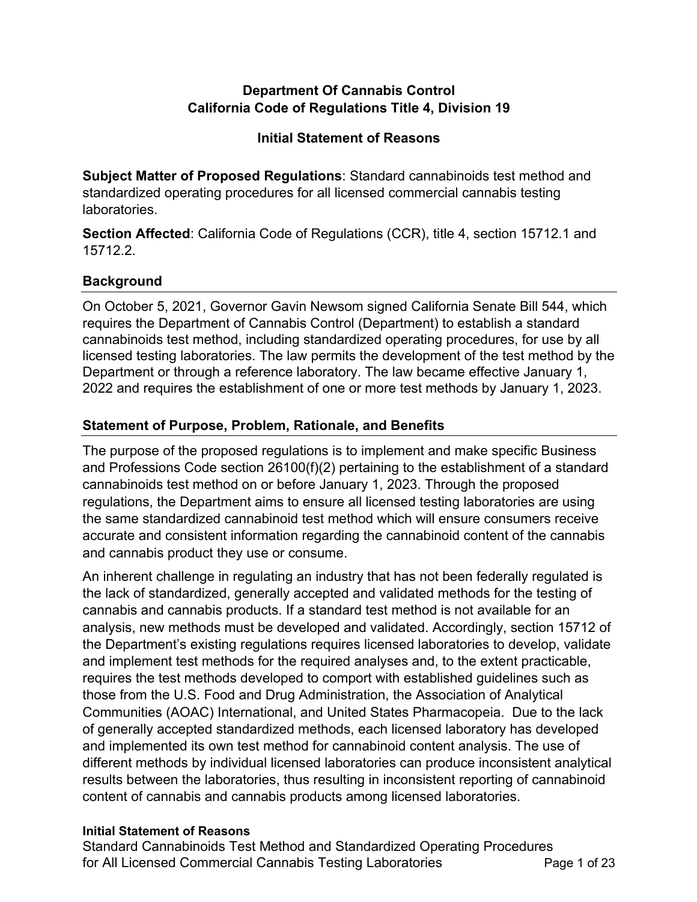## **Department Of Cannabis Control California Code of Regulations Title 4, Division 19**

## **Initial Statement of Reasons**

 **Subject Matter of Proposed Regulations**: Standard cannabinoids test method and standardized operating procedures for all licensed commercial cannabis testing laboratories.

 **Section Affected**: California Code of Regulations (CCR), title 4, section 15712.1 and 15712.2.

# **Background**

 On October 5, 2021, Governor Gavin Newsom signed California Senate Bill 544, which requires the Department of Cannabis Control (Department) to establish a standard cannabinoids test method, including standardized operating procedures, for use by all licensed testing laboratories. The law permits the development of the test method by the Department or through a reference laboratory. The law became effective January 1, 2022 and requires the establishment of one or more test methods by January 1, 2023.

# **Statement of Purpose, Problem, Rationale, and Benefits**

 The purpose of the proposed regulations is to implement and make specific Business and Professions Code section 26100(f)(2) pertaining to the establishment of a standard cannabinoids test method on or before January 1, 2023. Through the proposed regulations, the Department aims to ensure all licensed testing laboratories are using the same standardized cannabinoid test method which will ensure consumers receive accurate and consistent information regarding the cannabinoid content of the cannabis and cannabis product they use or consume.

 An inherent challenge in regulating an industry that has not been federally regulated is the lack of standardized, generally accepted and validated methods for the testing of cannabis and cannabis products. If a standard test method is not available for an analysis, new methods must be developed and validated. Accordingly, section 15712 of the Department's existing regulations requires licensed laboratories to develop, validate and implement test methods for the required analyses and, to the extent practicable, requires the test methods developed to comport with established guidelines such as those from the U.S. Food and Drug Administration, the Association of Analytical Communities (AOAC) International, and United States Pharmacopeia. Due to the lack of generally accepted standardized methods, each licensed laboratory has developed and implemented its own test method for cannabinoid content analysis. The use of different methods by individual licensed laboratories can produce inconsistent analytical results between the laboratories, thus resulting in inconsistent reporting of cannabinoid content of cannabis and cannabis products among licensed laboratories.

## **Initial Statement of Reasons**

 Standard Cannabinoids Test Method and Standardized Operating Procedures for All Licensed Commercial Cannabis Testing Laboratories **Page 1 of 23**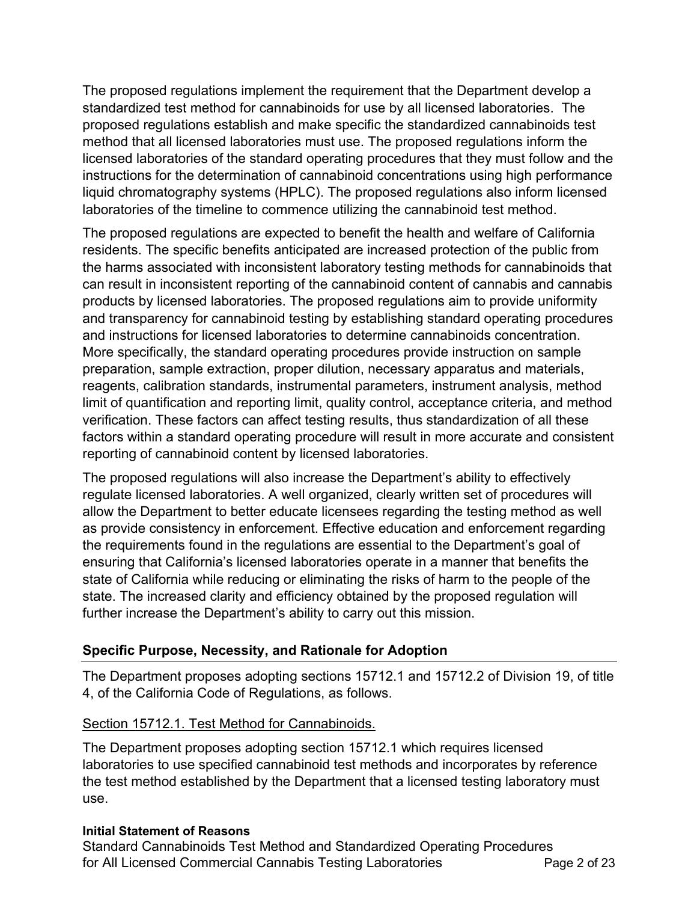The proposed regulations implement the requirement that the Department develop a standardized test method for cannabinoids for use by all licensed laboratories. The proposed regulations establish and make specific the standardized cannabinoids test method that all licensed laboratories must use. The proposed regulations inform the licensed laboratories of the standard operating procedures that they must follow and the instructions for the determination of cannabinoid concentrations using high performance liquid chromatography systems (HPLC). The proposed regulations also inform licensed laboratories of the timeline to commence utilizing the cannabinoid test method.

 The proposed regulations are expected to benefit the health and welfare of California residents. The specific benefits anticipated are increased protection of the public from the harms associated with inconsistent laboratory testing methods for cannabinoids that can result in inconsistent reporting of the cannabinoid content of cannabis and cannabis products by licensed laboratories. The proposed regulations aim to provide uniformity and transparency for cannabinoid testing by establishing standard operating procedures and instructions for licensed laboratories to determine cannabinoids concentration. More specifically, the standard operating procedures provide instruction on sample preparation, sample extraction, proper dilution, necessary apparatus and materials, reagents, calibration standards, instrumental parameters, instrument analysis, method limit of quantification and reporting limit, quality control, acceptance criteria, and method verification. These factors can affect testing results, thus standardization of all these factors within a standard operating procedure will result in more accurate and consistent reporting of cannabinoid content by licensed laboratories.

 The proposed regulations will also increase the Department's ability to effectively regulate licensed laboratories. A well organized, clearly written set of procedures will allow the Department to better educate licensees regarding the testing method as well as provide consistency in enforcement. Effective education and enforcement regarding the requirements found in the regulations are essential to the Department's goal of ensuring that California's licensed laboratories operate in a manner that benefits the state of California while reducing or eliminating the risks of harm to the people of the state. The increased clarity and efficiency obtained by the proposed regulation will further increase the Department's ability to carry out this mission.

## **Specific Purpose, Necessity, and Rationale for Adoption**

 The Department proposes adopting sections 15712.1 and 15712.2 of Division 19, of title 4, of the California Code of Regulations, as follows.

## Section 15712.1. Test Method for Cannabinoids.

 The Department proposes adopting section 15712.1 which requires licensed laboratories to use specified cannabinoid test methods and incorporates by reference the test method established by the Department that a licensed testing laboratory must use.

### **Initial Statement of Reasons**

 Standard Cannabinoids Test Method and Standardized Operating Procedures for All Licensed Commercial Cannabis Testing Laboratories **Page 2** of 23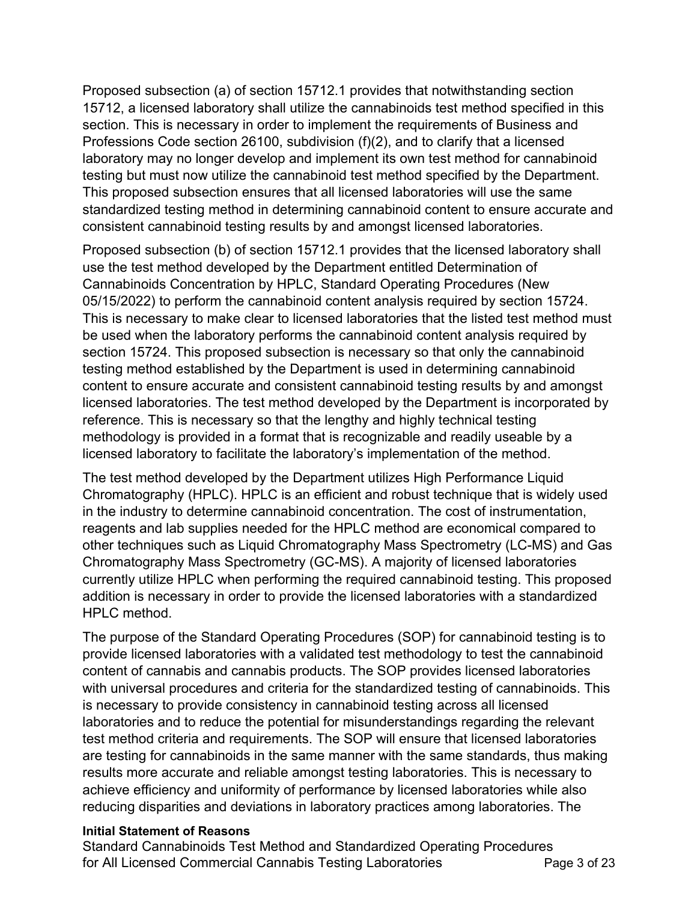Proposed subsection (a) of section 15712.1 provides that notwithstanding section 15712, a licensed laboratory shall utilize the cannabinoids test method specified in this section. This is necessary in order to implement the requirements of Business and Professions Code section 26100, subdivision (f)(2), and to clarify that a licensed laboratory may no longer develop and implement its own test method for cannabinoid testing but must now utilize the cannabinoid test method specified by the Department. This proposed subsection ensures that all licensed laboratories will use the same standardized testing method in determining cannabinoid content to ensure accurate and consistent cannabinoid testing results by and amongst licensed laboratories.

 Proposed subsection (b) of section 15712.1 provides that the licensed laboratory shall use the test method developed by the Department entitled Determination of Cannabinoids Concentration by HPLC, Standard Operating Procedures (New 05/15/2022) to perform the cannabinoid content analysis required by section 15724. This is necessary to make clear to licensed laboratories that the listed test method must be used when the laboratory performs the cannabinoid content analysis required by section 15724. This proposed subsection is necessary so that only the cannabinoid testing method established by the Department is used in determining cannabinoid content to ensure accurate and consistent cannabinoid testing results by and amongst licensed laboratories. The test method developed by the Department is incorporated by reference. This is necessary so that the lengthy and highly technical testing methodology is provided in a format that is recognizable and readily useable by a licensed laboratory to facilitate the laboratory's implementation of the method.

 The test method developed by the Department utilizes High Performance Liquid Chromatography (HPLC). HPLC is an efficient and robust technique that is widely used in the industry to determine cannabinoid concentration. The cost of instrumentation, reagents and lab supplies needed for the HPLC method are economical compared to other techniques such as Liquid Chromatography Mass Spectrometry (LC-MS) and Gas Chromatography Mass Spectrometry (GC-MS). A majority of licensed laboratories currently utilize HPLC when performing the required cannabinoid testing. This proposed addition is necessary in order to provide the licensed laboratories with a standardized HPLC method.

 The purpose of the Standard Operating Procedures (SOP) for cannabinoid testing is to provide licensed laboratories with a validated test methodology to test the cannabinoid content of cannabis and cannabis products. The SOP provides licensed laboratories with universal procedures and criteria for the standardized testing of cannabinoids. This is necessary to provide consistency in cannabinoid testing across all licensed laboratories and to reduce the potential for misunderstandings regarding the relevant test method criteria and requirements. The SOP will ensure that licensed laboratories are testing for cannabinoids in the same manner with the same standards, thus making results more accurate and reliable amongst testing laboratories. This is necessary to achieve efficiency and uniformity of performance by licensed laboratories while also reducing disparities and deviations in laboratory practices among laboratories. The

### **Initial Statement of Reasons**

 Standard Cannabinoids Test Method and Standardized Operating Procedures for All Licensed Commercial Cannabis Testing Laboratories **Page 3** of 23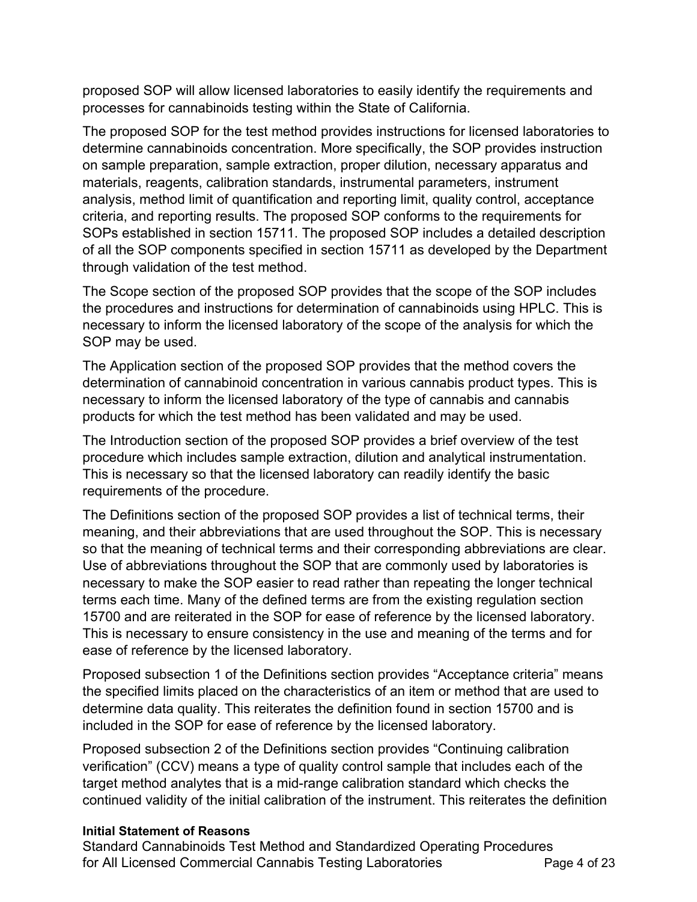proposed SOP will allow licensed laboratories to easily identify the requirements and processes for cannabinoids testing within the State of California.

 The proposed SOP for the test method provides instructions for licensed laboratories to determine cannabinoids concentration. More specifically, the SOP provides instruction on sample preparation, sample extraction, proper dilution, necessary apparatus and materials, reagents, calibration standards, instrumental parameters, instrument analysis, method limit of quantification and reporting limit, quality control, acceptance criteria, and reporting results. The proposed SOP conforms to the requirements for SOPs established in section 15711. The proposed SOP includes a detailed description of all the SOP components specified in section 15711 as developed by the Department through validation of the test method.

 The Scope section of the proposed SOP provides that the scope of the SOP includes the procedures and instructions for determination of cannabinoids using HPLC. This is necessary to inform the licensed laboratory of the scope of the analysis for which the SOP may be used.

 The Application section of the proposed SOP provides that the method covers the determination of cannabinoid concentration in various cannabis product types. This is necessary to inform the licensed laboratory of the type of cannabis and cannabis products for which the test method has been validated and may be used.

 The Introduction section of the proposed SOP provides a brief overview of the test procedure which includes sample extraction, dilution and analytical instrumentation. This is necessary so that the licensed laboratory can readily identify the basic requirements of the procedure.

 The Definitions section of the proposed SOP provides a list of technical terms, their meaning, and their abbreviations that are used throughout the SOP. This is necessary so that the meaning of technical terms and their corresponding abbreviations are clear. Use of abbreviations throughout the SOP that are commonly used by laboratories is necessary to make the SOP easier to read rather than repeating the longer technical terms each time. Many of the defined terms are from the existing regulation section 15700 and are reiterated in the SOP for ease of reference by the licensed laboratory. This is necessary to ensure consistency in the use and meaning of the terms and for ease of reference by the licensed laboratory.

 Proposed subsection 1 of the Definitions section provides "Acceptance criteria" means the specified limits placed on the characteristics of an item or method that are used to determine data quality. This reiterates the definition found in section 15700 and is included in the SOP for ease of reference by the licensed laboratory.

 Proposed subsection 2 of the Definitions section provides "Continuing calibration verification" (CCV) means a type of quality control sample that includes each of the target method analytes that is a mid-range calibration standard which checks the continued validity of the initial calibration of the instrument. This reiterates the definition

## **Initial Statement of Reasons**

 Standard Cannabinoids Test Method and Standardized Operating Procedures for All Licensed Commercial Cannabis Testing Laboratories **Page 4 of 23**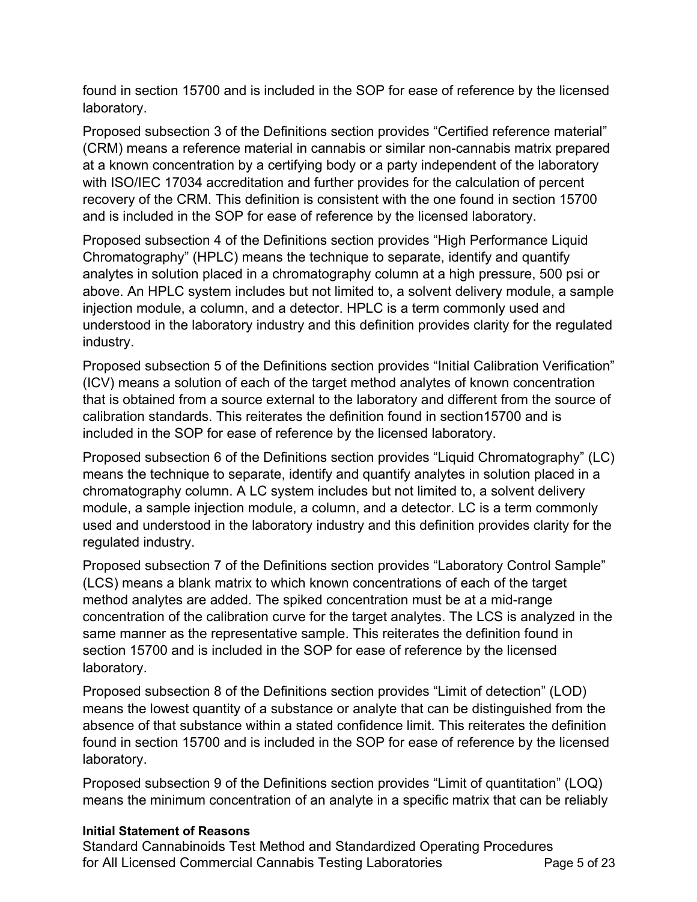found in section 15700 and is included in the SOP for ease of reference by the licensed laboratory.

 Proposed subsection 3 of the Definitions section provides "Certified reference material" (CRM) means a reference material in cannabis or similar non-cannabis matrix prepared at a known concentration by a certifying body or a party independent of the laboratory with ISO/IEC 17034 accreditation and further provides for the calculation of percent recovery of the CRM. This definition is consistent with the one found in section 15700 and is included in the SOP for ease of reference by the licensed laboratory.

 Proposed subsection 4 of the Definitions section provides "High Performance Liquid Chromatography" (HPLC) means the technique to separate, identify and quantify analytes in solution placed in a chromatography column at a high pressure, 500 psi or above. An HPLC system includes but not limited to, a solvent delivery module, a sample injection module, a column, and a detector. HPLC is a term commonly used and understood in the laboratory industry and this definition provides clarity for the regulated industry.

industry.<br>Proposed subsection 5 of the Definitions section provides "Initial Calibration Verification" (ICV) means a solution of each of the target method analytes of known concentration that is obtained from a source external to the laboratory and different from the source of calibration standards. This reiterates the definition found in section15700 and is included in the SOP for ease of reference by the licensed laboratory.

 Proposed subsection 6 of the Definitions section provides "Liquid Chromatography" (LC) means the technique to separate, identify and quantify analytes in solution placed in a chromatography column. A LC system includes but not limited to, a solvent delivery module, a sample injection module, a column, and a detector. LC is a term commonly used and understood in the laboratory industry and this definition provides clarity for the regulated industry.

 Proposed subsection 7 of the Definitions section provides "Laboratory Control Sample" (LCS) means a blank matrix to which known concentrations of each of the target method analytes are added. The spiked concentration must be at a mid-range concentration of the calibration curve for the target analytes. The LCS is analyzed in the same manner as the representative sample. This reiterates the definition found in section 15700 and is included in the SOP for ease of reference by the licensed laboratory.

 Proposed subsection 8 of the Definitions section provides "Limit of detection" (LOD) means the lowest quantity of a substance or analyte that can be distinguished from the absence of that substance within a stated confidence limit. This reiterates the definition found in section 15700 and is included in the SOP for ease of reference by the licensed laboratory.

 Proposed subsection 9 of the Definitions section provides "Limit of quantitation" (LOQ) means the minimum concentration of an analyte in a specific matrix that can be reliably

## **Initial Statement of Reasons**

 Standard Cannabinoids Test Method and Standardized Operating Procedures for All Licensed Commercial Cannabis Testing Laboratories **Page 5** of 23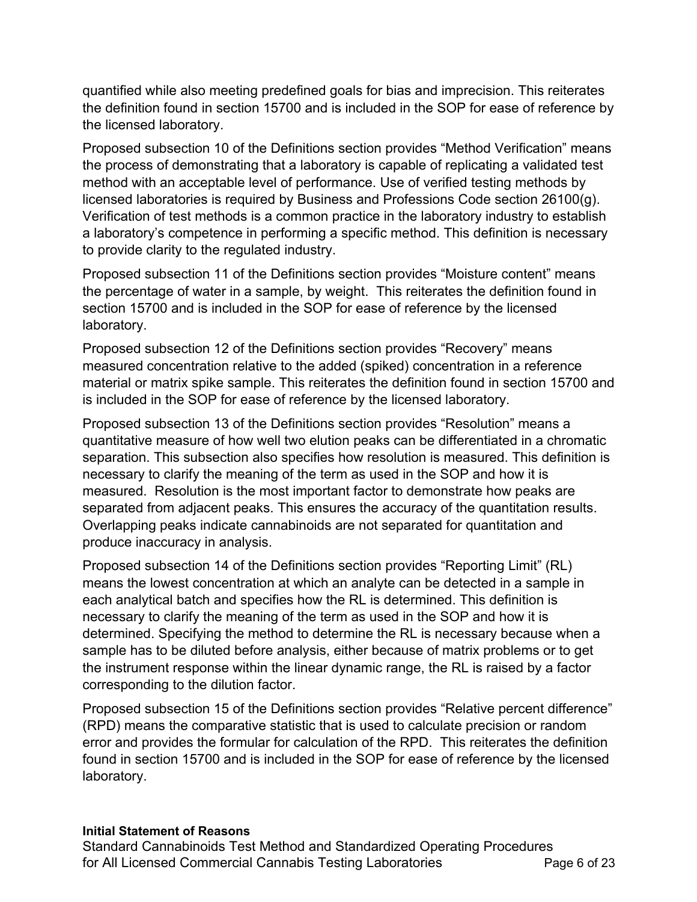quantified while also meeting predefined goals for bias and imprecision. This reiterates the definition found in section 15700 and is included in the SOP for ease of reference by the licensed laboratory.

 Proposed subsection 10 of the Definitions section provides "Method Verification" means the process of demonstrating that a laboratory is capable of replicating a validated test method with an acceptable level of performance. Use of verified testing methods by licensed laboratories is required by Business and Professions Code section 26100(g). Verification of test methods is a common practice in the laboratory industry to establish a laboratory's competence in performing a specific method. This definition is necessary to provide clarity to the regulated industry.

 Proposed subsection 11 of the Definitions section provides "Moisture content" means the percentage of water in a sample, by weight. This reiterates the definition found in section 15700 and is included in the SOP for ease of reference by the licensed laboratory.

 Proposed subsection 12 of the Definitions section provides "Recovery" means measured concentration relative to the added (spiked) concentration in a reference material or matrix spike sample. This reiterates the definition found in section 15700 and is included in the SOP for ease of reference by the licensed laboratory.

 Proposed subsection 13 of the Definitions section provides "Resolution" means a quantitative measure of how well two elution peaks can be differentiated in a chromatic separation. This subsection also specifies how resolution is measured. This definition is necessary to clarify the meaning of the term as used in the SOP and how it is measured. Resolution is the most important factor to demonstrate how peaks are separated from adjacent peaks. This ensures the accuracy of the quantitation results. Overlapping peaks indicate cannabinoids are not separated for quantitation and produce inaccuracy in analysis.

 Proposed subsection 14 of the Definitions section provides "Reporting Limit" (RL) means the lowest concentration at which an analyte can be detected in a sample in each analytical batch and specifies how the RL is determined. This definition is necessary to clarify the meaning of the term as used in the SOP and how it is determined. Specifying the method to determine the RL is necessary because when a sample has to be diluted before analysis, either because of matrix problems or to get the instrument response within the linear dynamic range, the RL is raised by a factor corresponding to the dilution factor.

 Proposed subsection 15 of the Definitions section provides "Relative percent difference" (RPD) means the comparative statistic that is used to calculate precision or random error and provides the formular for calculation of the RPD. This reiterates the definition found in section 15700 and is included in the SOP for ease of reference by the licensed laboratory.

## **Initial Statement of Reasons**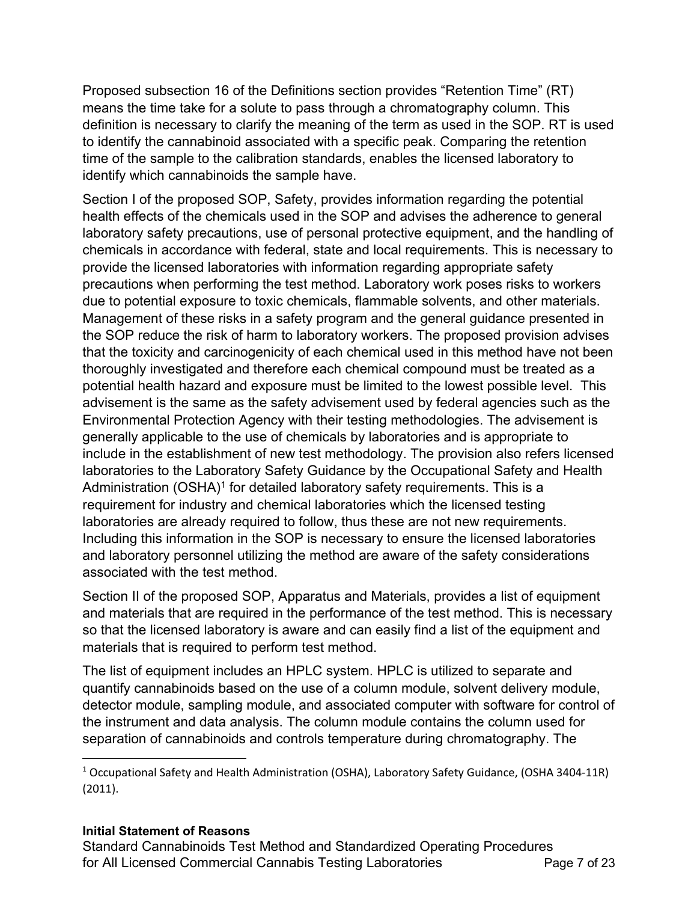Proposed subsection 16 of the Definitions section provides "Retention Time" (RT) means the time take for a solute to pass through a chromatography column. This definition is necessary to clarify the meaning of the term as used in the SOP. RT is used to identify the cannabinoid associated with a specific peak. Comparing the retention time of the sample to the calibration standards, enables the licensed laboratory to identify which cannabinoids the sample have.

 Section I of the proposed SOP, Safety, provides information regarding the potential health effects of the chemicals used in the SOP and advises the adherence to general laboratory safety precautions, use of personal protective equipment, and the handling of chemicals in accordance with federal, state and local requirements. This is necessary to provide the licensed laboratories with information regarding appropriate safety precautions when performing the test method. Laboratory work poses risks to workers due to potential exposure to toxic chemicals, flammable solvents, and other materials. Management of these risks in a safety program and the general guidance presented in the SOP reduce the risk of harm to laboratory workers. The proposed provision advises that the toxicity and carcinogenicity of each chemical used in this method have not been thoroughly investigated and therefore each chemical compound must be treated as a potential health hazard and exposure must be limited to the lowest possible level. This advisement is the same as the safety advisement used by federal agencies such as the Environmental Protection Agency with their testing methodologies. The advisement is generally applicable to the use of chemicals by laboratories and is appropriate to include in the establishment of new test methodology. The provision also refers licensed laboratories to the Laboratory Safety Guidance by the Occupational Safety and Health Administration  $(OSHA)<sup>1</sup>$  for detailed laboratory safety requirements. This is a requirement for industry and chemical laboratories which the licensed testing laboratories are already required to follow, thus these are not new requirements. Including this information in the SOP is necessary to ensure the licensed laboratories and laboratory personnel utilizing the method are aware of the safety considerations associated with the test method.

 Section II of the proposed SOP, Apparatus and Materials, provides a list of equipment and materials that are required in the performance of the test method. This is necessary so that the licensed laboratory is aware and can easily find a list of the equipment and materials that is required to perform test method.

 The list of equipment includes an HPLC system. HPLC is utilized to separate and quantify cannabinoids based on the use of a column module, solvent delivery module, detector module, sampling module, and associated computer with software for control of the instrument and data analysis. The column module contains the column used for separation of cannabinoids and controls temperature during chromatography. The

## **Initial Statement of Reasons**

 $^1$  Occupational Safety and Health Administration (OSHA), Laboratory Safety Guidance, (OSHA 3404-11R) (2011).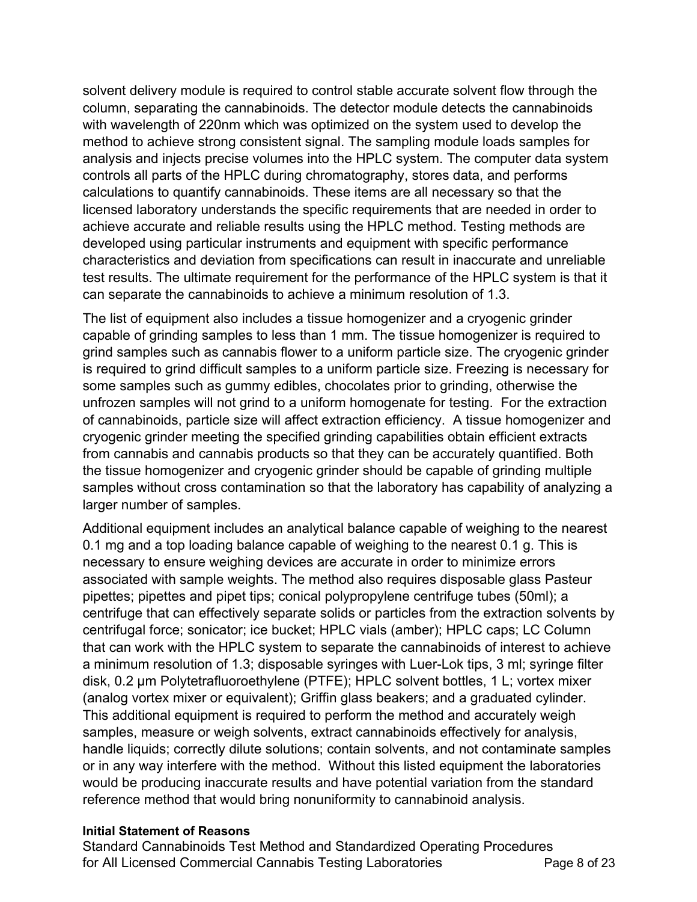solvent delivery module is required to control stable accurate solvent flow through the column, separating the cannabinoids. The detector module detects the cannabinoids with wavelength of 220nm which was optimized on the system used to develop the method to achieve strong consistent signal. The sampling module loads samples for analysis and injects precise volumes into the HPLC system. The computer data system controls all parts of the HPLC during chromatography, stores data, and performs calculations to quantify cannabinoids. These items are all necessary so that the licensed laboratory understands the specific requirements that are needed in order to achieve accurate and reliable results using the HPLC method. Testing methods are developed using particular instruments and equipment with specific performance characteristics and deviation from specifications can result in inaccurate and unreliable test results. The ultimate requirement for the performance of the HPLC system is that it can separate the cannabinoids to achieve a minimum resolution of 1.3.

 The list of equipment also includes a tissue homogenizer and a cryogenic grinder capable of grinding samples to less than 1 mm. The tissue homogenizer is required to grind samples such as cannabis flower to a uniform particle size. The cryogenic grinder is required to grind difficult samples to a uniform particle size. Freezing is necessary for some samples such as gummy edibles, chocolates prior to grinding, otherwise the unfrozen samples will not grind to a uniform homogenate for testing. For the extraction of cannabinoids, particle size will affect extraction efficiency. A tissue homogenizer and cryogenic grinder meeting the specified grinding capabilities obtain efficient extracts from cannabis and cannabis products so that they can be accurately quantified. Both the tissue homogenizer and cryogenic grinder should be capable of grinding multiple samples without cross contamination so that the laboratory has capability of analyzing a larger number of samples.

 Additional equipment includes an analytical balance capable of weighing to the nearest 0.1 mg and a top loading balance capable of weighing to the nearest 0.1 g. This is necessary to ensure weighing devices are accurate in order to minimize errors associated with sample weights. The method also requires disposable glass Pasteur pipettes; pipettes and pipet tips; conical polypropylene centrifuge tubes (50ml); a centrifuge that can effectively separate solids or particles from the extraction solvents by centrifugal force; sonicator; ice bucket; HPLC vials (amber); HPLC caps; LC Column that can work with the HPLC system to separate the cannabinoids of interest to achieve a minimum resolution of 1.3; disposable syringes with Luer-Lok tips, 3 ml; syringe filter disk, 0.2 µm Polytetrafluoroethylene (PTFE); HPLC solvent bottles, 1 L; vortex mixer (analog vortex mixer or equivalent); Griffin glass beakers; and a graduated cylinder. This additional equipment is required to perform the method and accurately weigh samples, measure or weigh solvents, extract cannabinoids effectively for analysis, handle liquids; correctly dilute solutions; contain solvents, and not contaminate samples or in any way interfere with the method. Without this listed equipment the laboratories would be producing inaccurate results and have potential variation from the standard reference method that would bring nonuniformity to cannabinoid analysis.

### **Initial Statement of Reasons**

 Standard Cannabinoids Test Method and Standardized Operating Procedures for All Licensed Commercial Cannabis Testing Laboratories **Page 8** of 23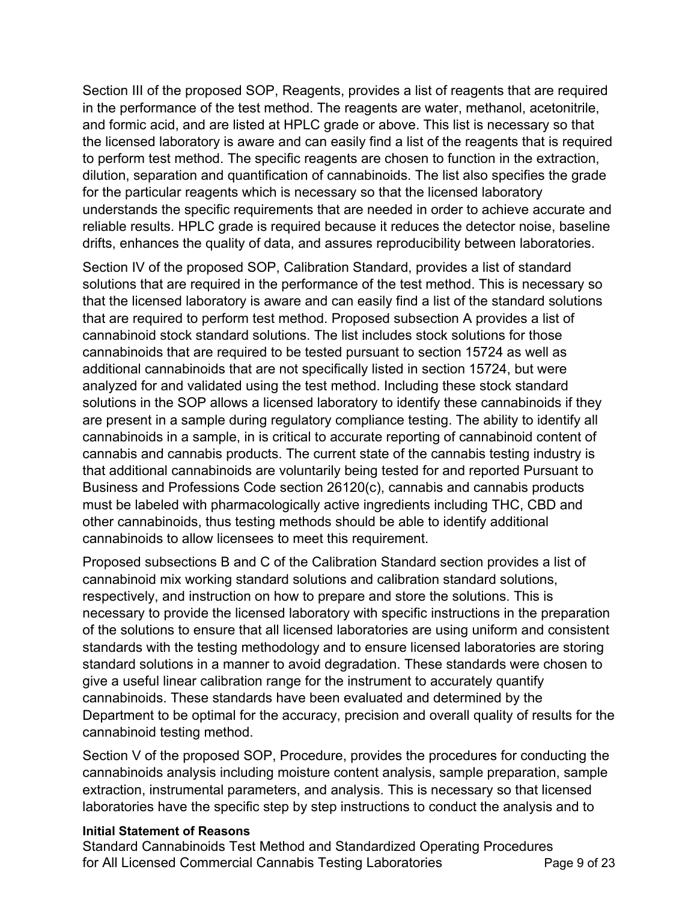Section III of the proposed SOP, Reagents, provides a list of reagents that are required in the performance of the test method. The reagents are water, methanol, acetonitrile, and formic acid, and are listed at HPLC grade or above. This list is necessary so that the licensed laboratory is aware and can easily find a list of the reagents that is required to perform test method. The specific reagents are chosen to function in the extraction, dilution, separation and quantification of cannabinoids. The list also specifies the grade for the particular reagents which is necessary so that the licensed laboratory understands the specific requirements that are needed in order to achieve accurate and reliable results. HPLC grade is required because it reduces the detector noise, baseline drifts, enhances the quality of data, and assures reproducibility between laboratories.

 Section IV of the proposed SOP, Calibration Standard, provides a list of standard solutions that are required in the performance of the test method. This is necessary so that the licensed laboratory is aware and can easily find a list of the standard solutions that are required to perform test method. Proposed subsection A provides a list of cannabinoid stock standard solutions. The list includes stock solutions for those cannabinoids that are required to be tested pursuant to section 15724 as well as additional cannabinoids that are not specifically listed in section 15724, but were analyzed for and validated using the test method. Including these stock standard solutions in the SOP allows a licensed laboratory to identify these cannabinoids if they are present in a sample during regulatory compliance testing. The ability to identify all cannabinoids in a sample, in is critical to accurate reporting of cannabinoid content of cannabis and cannabis products. The current state of the cannabis testing industry is that additional cannabinoids are voluntarily being tested for and reported Pursuant to Business and Professions Code section 26120(c), cannabis and cannabis products must be labeled with pharmacologically active ingredients including THC, CBD and other cannabinoids, thus testing methods should be able to identify additional cannabinoids to allow licensees to meet this requirement.

 Proposed subsections B and C of the Calibration Standard section provides a list of cannabinoid mix working standard solutions and calibration standard solutions, respectively, and instruction on how to prepare and store the solutions. This is necessary to provide the licensed laboratory with specific instructions in the preparation of the solutions to ensure that all licensed laboratories are using uniform and consistent standards with the testing methodology and to ensure licensed laboratories are storing standard solutions in a manner to avoid degradation. These standards were chosen to give a useful linear calibration range for the instrument to accurately quantify cannabinoids. These standards have been evaluated and determined by the Department to be optimal for the accuracy, precision and overall quality of results for the cannabinoid testing method.

 Section V of the proposed SOP, Procedure, provides the procedures for conducting the cannabinoids analysis including moisture content analysis, sample preparation, sample extraction, instrumental parameters, and analysis. This is necessary so that licensed laboratories have the specific step by step instructions to conduct the analysis and to

## **Initial Statement of Reasons**

 Standard Cannabinoids Test Method and Standardized Operating Procedures for All Licensed Commercial Cannabis Testing Laboratories **Page 9** of 23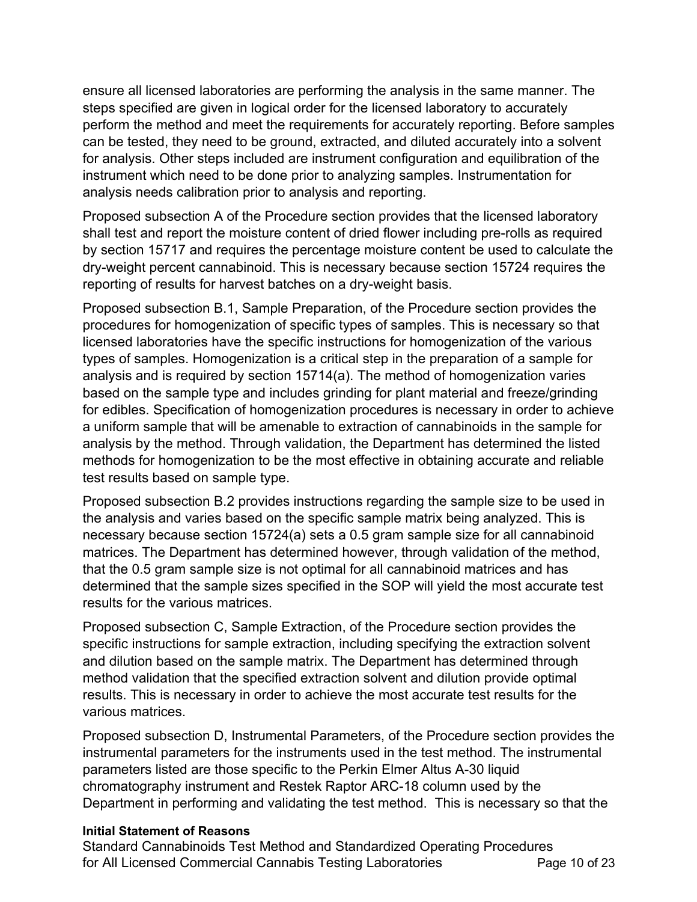ensure all licensed laboratories are performing the analysis in the same manner. The steps specified are given in logical order for the licensed laboratory to accurately perform the method and meet the requirements for accurately reporting. Before samples can be tested, they need to be ground, extracted, and diluted accurately into a solvent for analysis. Other steps included are instrument configuration and equilibration of the instrument which need to be done prior to analyzing samples. Instrumentation for analysis needs calibration prior to analysis and reporting.

 Proposed subsection A of the Procedure section provides that the licensed laboratory shall test and report the moisture content of dried flower including pre-rolls as required by section 15717 and requires the percentage moisture content be used to calculate the dry-weight percent cannabinoid. This is necessary because section 15724 requires the reporting of results for harvest batches on a dry-weight basis.

 Proposed subsection B.1, Sample Preparation, of the Procedure section provides the procedures for homogenization of specific types of samples. This is necessary so that licensed laboratories have the specific instructions for homogenization of the various types of samples. Homogenization is a critical step in the preparation of a sample for analysis and is required by section 15714(a). The method of homogenization varies based on the sample type and includes grinding for plant material and freeze/grinding for edibles. Specification of homogenization procedures is necessary in order to achieve a uniform sample that will be amenable to extraction of cannabinoids in the sample for analysis by the method. Through validation, the Department has determined the listed methods for homogenization to be the most effective in obtaining accurate and reliable test results based on sample type.

 Proposed subsection B.2 provides instructions regarding the sample size to be used in the analysis and varies based on the specific sample matrix being analyzed. This is necessary because section 15724(a) sets a 0.5 gram sample size for all cannabinoid matrices. The Department has determined however, through validation of the method, that the 0.5 gram sample size is not optimal for all cannabinoid matrices and has determined that the sample sizes specified in the SOP will yield the most accurate test results for the various matrices.

results for the various matrices.<br>Proposed subsection C, Sample Extraction, of the Procedure section provides the specific instructions for sample extraction, including specifying the extraction solvent and dilution based on the sample matrix. The Department has determined through method validation that the specified extraction solvent and dilution provide optimal results. This is necessary in order to achieve the most accurate test results for the various matrices.

 Proposed subsection D, Instrumental Parameters, of the Procedure section provides the instrumental parameters for the instruments used in the test method. The instrumental parameters listed are those specific to the Perkin Elmer Altus A-30 liquid chromatography instrument and Restek Raptor ARC-18 column used by the Department in performing and validating the test method. This is necessary so that the

## **Initial Statement of Reasons**

 Standard Cannabinoids Test Method and Standardized Operating Procedures for All Licensed Commercial Cannabis Testing Laboratories **Page 10 of 23**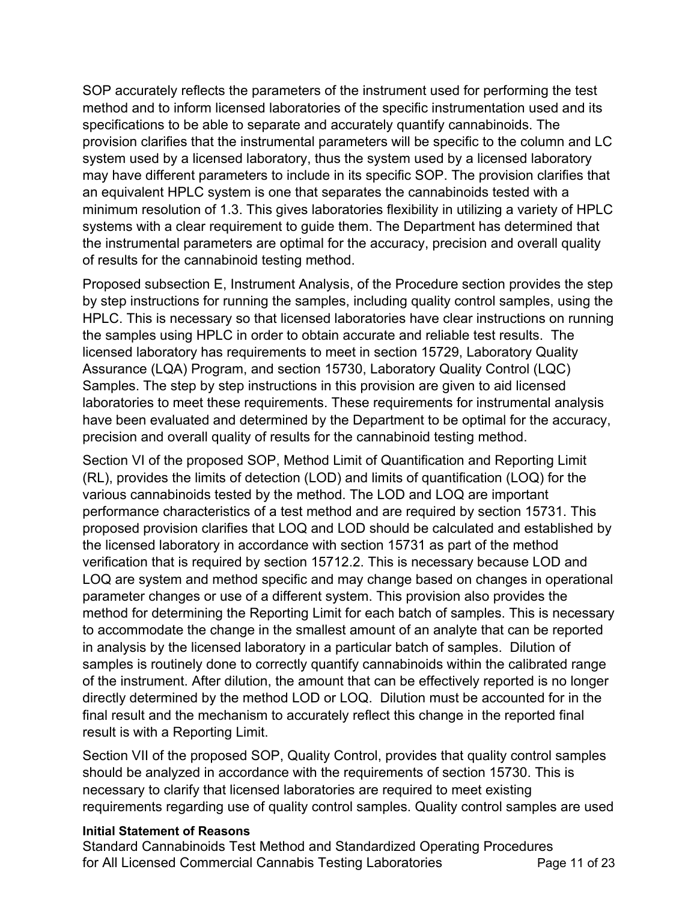SOP accurately reflects the parameters of the instrument used for performing the test method and to inform licensed laboratories of the specific instrumentation used and its specifications to be able to separate and accurately quantify cannabinoids. The provision clarifies that the instrumental parameters will be specific to the column and LC system used by a licensed laboratory, thus the system used by a licensed laboratory may have different parameters to include in its specific SOP. The provision clarifies that an equivalent HPLC system is one that separates the cannabinoids tested with a minimum resolution of 1.3. This gives laboratories flexibility in utilizing a variety of HPLC systems with a clear requirement to guide them. The Department has determined that the instrumental parameters are optimal for the accuracy, precision and overall quality of results for the cannabinoid testing method.

 Proposed subsection E, Instrument Analysis, of the Procedure section provides the step by step instructions for running the samples, including quality control samples, using the HPLC. This is necessary so that licensed laboratories have clear instructions on running the samples using HPLC in order to obtain accurate and reliable test results. The licensed laboratory has requirements to meet in section 15729, Laboratory Quality Assurance (LQA) Program, and section 15730, Laboratory Quality Control (LQC) Samples. The step by step instructions in this provision are given to aid licensed laboratories to meet these requirements. These requirements for instrumental analysis have been evaluated and determined by the Department to be optimal for the accuracy, precision and overall quality of results for the cannabinoid testing method.

 Section VI of the proposed SOP, Method Limit of Quantification and Reporting Limit (RL), provides the limits of detection (LOD) and limits of quantification (LOQ) for the various cannabinoids tested by the method. The LOD and LOQ are important performance characteristics of a test method and are required by section 15731. This proposed provision clarifies that LOQ and LOD should be calculated and established by the licensed laboratory in accordance with section 15731 as part of the method verification that is required by section 15712.2. This is necessary because LOD and LOQ are system and method specific and may change based on changes in operational parameter changes or use of a different system. This provision also provides the method for determining the Reporting Limit for each batch of samples. This is necessary to accommodate the change in the smallest amount of an analyte that can be reported in analysis by the licensed laboratory in a particular batch of samples. Dilution of samples is routinely done to correctly quantify cannabinoids within the calibrated range of the instrument. After dilution, the amount that can be effectively reported is no longer directly determined by the method LOD or LOQ. Dilution must be accounted for in the final result and the mechanism to accurately reflect this change in the reported final result is with a Reporting Limit.

 Section VII of the proposed SOP, Quality Control, provides that quality control samples should be analyzed in accordance with the requirements of section 15730. This is necessary to clarify that licensed laboratories are required to meet existing requirements regarding use of quality control samples. Quality control samples are used

## **Initial Statement of Reasons**

 Standard Cannabinoids Test Method and Standardized Operating Procedures for All Licensed Commercial Cannabis Testing Laboratories **Page 11 of 23**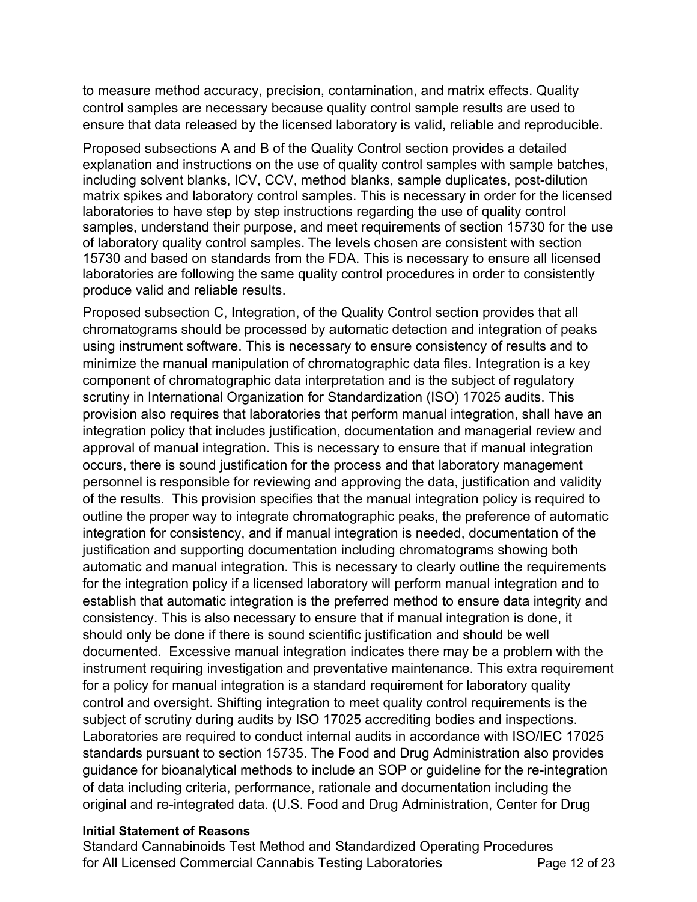to measure method accuracy, precision, contamination, and matrix effects. Quality control samples are necessary because quality control sample results are used to ensure that data released by the licensed laboratory is valid, reliable and reproducible.

 Proposed subsections A and B of the Quality Control section provides a detailed explanation and instructions on the use of quality control samples with sample batches, including solvent blanks, ICV, CCV, method blanks, sample duplicates, post-dilution matrix spikes and laboratory control samples. This is necessary in order for the licensed laboratories to have step by step instructions regarding the use of quality control samples, understand their purpose, and meet requirements of section 15730 for the use of laboratory quality control samples. The levels chosen are consistent with section 15730 and based on standards from the FDA. This is necessary to ensure all licensed laboratories are following the same quality control procedures in order to consistently produce valid and reliable results.

 Proposed subsection C, Integration, of the Quality Control section provides that all chromatograms should be processed by automatic detection and integration of peaks using instrument software. This is necessary to ensure consistency of results and to minimize the manual manipulation of chromatographic data files. Integration is a key component of chromatographic data interpretation and is the subject of regulatory scrutiny in International Organization for Standardization (ISO) 17025 audits. This provision also requires that laboratories that perform manual integration, shall have an integration policy that includes justification, documentation and managerial review and approval of manual integration. This is necessary to ensure that if manual integration occurs, there is sound justification for the process and that laboratory management personnel is responsible for reviewing and approving the data, justification and validity of the results. This provision specifies that the manual integration policy is required to outline the proper way to integrate chromatographic peaks, the preference of automatic integration for consistency, and if manual integration is needed, documentation of the justification and supporting documentation including chromatograms showing both automatic and manual integration. This is necessary to clearly outline the requirements for the integration policy if a licensed laboratory will perform manual integration and to establish that automatic integration is the preferred method to ensure data integrity and consistency. This is also necessary to ensure that if manual integration is done, it should only be done if there is sound scientific justification and should be well documented. Excessive manual integration indicates there may be a problem with the instrument requiring investigation and preventative maintenance. This extra requirement for a policy for manual integration is a standard requirement for laboratory quality control and oversight. Shifting integration to meet quality control requirements is the subject of scrutiny during audits by ISO 17025 accrediting bodies and inspections. Laboratories are required to conduct internal audits in accordance with ISO/IEC 17025 standards pursuant to section 15735. The Food and Drug Administration also provides guidance for bioanalytical methods to include an SOP or guideline for the re-integration of data including criteria, performance, rationale and documentation including the original and re-integrated data. (U.S. Food and Drug Administration, Center for Drug

### **Initial Statement of Reasons**

 Standard Cannabinoids Test Method and Standardized Operating Procedures for All Licensed Commercial Cannabis Testing Laboratories **Page 12 of 23**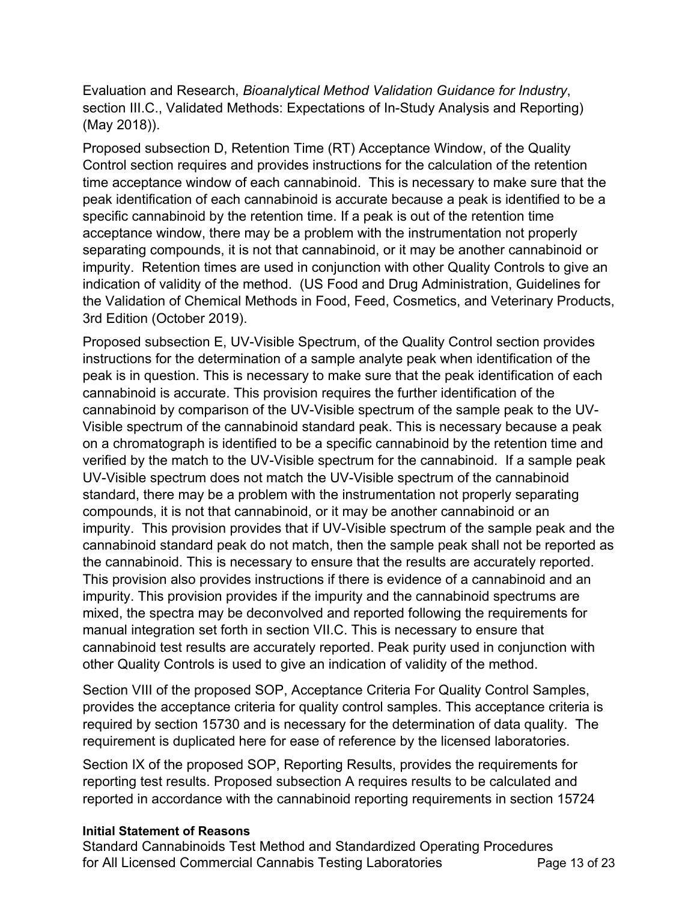Evaluation and Research, *Bioanalytical Method Validation Guidance for Industry*, section III.C., Validated Methods: Expectations of In-Study Analysis and Reporting) (May 2018)).

 Proposed subsection D, Retention Time (RT) Acceptance Window, of the Quality Control section requires and provides instructions for the calculation of the retention time acceptance window of each cannabinoid. This is necessary to make sure that the peak identification of each cannabinoid is accurate because a peak is identified to be a specific cannabinoid by the retention time. If a peak is out of the retention time acceptance window, there may be a problem with the instrumentation not properly separating compounds, it is not that cannabinoid, or it may be another cannabinoid or impurity. Retention times are used in conjunction with other Quality Controls to give an indication of validity of the method. (US Food and Drug Administration, Guidelines for the Validation of Chemical Methods in Food, Feed, Cosmetics, and Veterinary Products, 3rd Edition (October 2019).

 Proposed subsection E, UV-Visible Spectrum, of the Quality Control section provides instructions for the determination of a sample analyte peak when identification of the peak is in question. This is necessary to make sure that the peak identification of each cannabinoid is accurate. This provision requires the further identification of the cannabinoid by comparison of the UV-Visible spectrum of the sample peak to the UV- Visible spectrum of the cannabinoid standard peak. This is necessary because a peak on a chromatograph is identified to be a specific cannabinoid by the retention time and verified by the match to the UV-Visible spectrum for the cannabinoid. If a sample peak UV-Visible spectrum does not match the UV-Visible spectrum of the cannabinoid standard, there may be a problem with the instrumentation not properly separating compounds, it is not that cannabinoid, or it may be another cannabinoid or an impurity. This provision provides that if UV-Visible spectrum of the sample peak and the cannabinoid standard peak do not match, then the sample peak shall not be reported as the cannabinoid. This is necessary to ensure that the results are accurately reported. This provision also provides instructions if there is evidence of a cannabinoid and an impurity. This provision provides if the impurity and the cannabinoid spectrums are mixed, the spectra may be deconvolved and reported following the requirements for manual integration set forth in section VII.C. This is necessary to ensure that cannabinoid test results are accurately reported. Peak purity used in conjunction with other Quality Controls is used to give an indication of validity of the method.

 Section VIII of the proposed SOP, Acceptance Criteria For Quality Control Samples, provides the acceptance criteria for quality control samples. This acceptance criteria is required by section 15730 and is necessary for the determination of data quality. The requirement is duplicated here for ease of reference by the licensed laboratories.

 Section IX of the proposed SOP, Reporting Results, provides the requirements for reporting test results. Proposed subsection A requires results to be calculated and reported in accordance with the cannabinoid reporting requirements in section 15724

## **Initial Statement of Reasons**

 Standard Cannabinoids Test Method and Standardized Operating Procedures for All Licensed Commercial Cannabis Testing Laboratories **Page 13 of 23**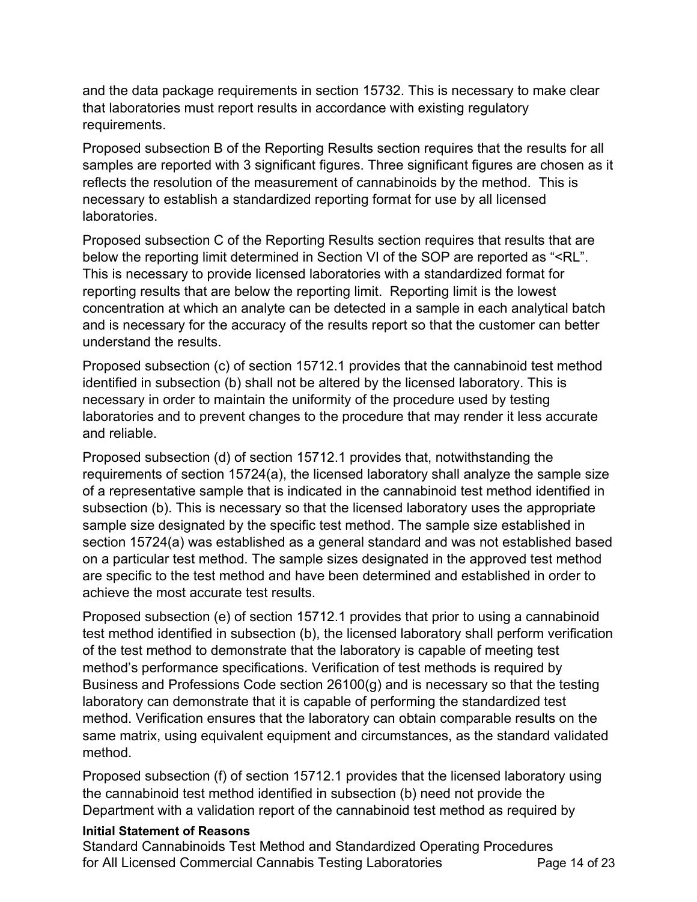and the data package requirements in section 15732. This is necessary to make clear that laboratories must report results in accordance with existing regulatory requirements.

requirements.<br>Proposed subsection B of the Reporting Results section requires that the results for all samples are reported with 3 significant figures. Three significant figures are chosen as it reflects the resolution of the measurement of cannabinoids by the method. This is necessary to establish a standardized reporting format for use by all licensed laboratories. laboratories.<br>Proposed subsection C of the Reporting Results section requires that results that are

below the reporting limit determined in Section VI of the SOP are reported as "<RL". This is necessary to provide licensed laboratories with a standardized format for reporting results that are below the reporting limit. Reporting limit is the lowest concentration at which an analyte can be detected in a sample in each analytical batch and is necessary for the accuracy of the results report so that the customer can better understand the results.

 Proposed subsection (c) of section 15712.1 provides that the cannabinoid test method identified in subsection (b) shall not be altered by the licensed laboratory. This is necessary in order to maintain the uniformity of the procedure used by testing laboratories and to prevent changes to the procedure that may render it less accurate and reliable.

 Proposed subsection (d) of section 15712.1 provides that, notwithstanding the requirements of section 15724(a), the licensed laboratory shall analyze the sample size of a representative sample that is indicated in the cannabinoid test method identified in subsection (b). This is necessary so that the licensed laboratory uses the appropriate sample size designated by the specific test method. The sample size established in section 15724(a) was established as a general standard and was not established based on a particular test method. The sample sizes designated in the approved test method are specific to the test method and have been determined and established in order to achieve the most accurate test results.

 Proposed subsection (e) of section 15712.1 provides that prior to using a cannabinoid test method identified in subsection (b), the licensed laboratory shall perform verification of the test method to demonstrate that the laboratory is capable of meeting test method's performance specifications. Verification of test methods is required by Business and Professions Code section 26100(g) and is necessary so that the testing laboratory can demonstrate that it is capable of performing the standardized test method. Verification ensures that the laboratory can obtain comparable results on the same matrix, using equivalent equipment and circumstances, as the standard validated method.

method.<br>Proposed subsection (f) of section 15712.1 provides that the licensed laboratory using the cannabinoid test method identified in subsection (b) need not provide the Department with a validation report of the cannabinoid test method as required by

## **Initial Statement of Reasons**

 Standard Cannabinoids Test Method and Standardized Operating Procedures for All Licensed Commercial Cannabis Testing Laboratories **Page 14 of 23**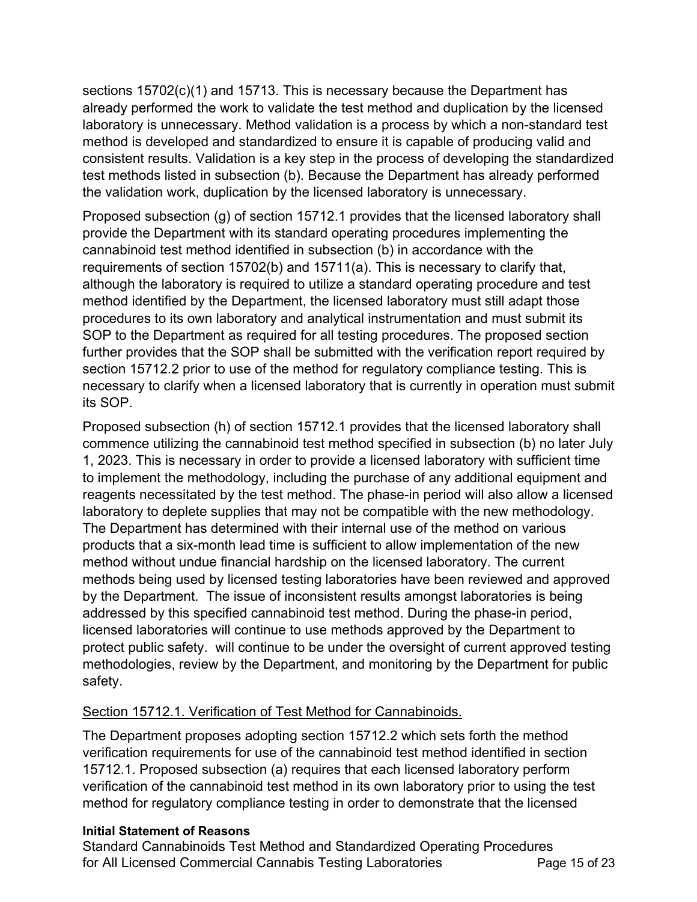sections 15702(c)(1) and 15713. This is necessary because the Department has already performed the work to validate the test method and duplication by the licensed laboratory is unnecessary. Method validation is a process by which a non-standard test method is developed and standardized to ensure it is capable of producing valid and consistent results. Validation is a key step in the process of developing the standardized test methods listed in subsection (b). Because the Department has already performed the validation work, duplication by the licensed laboratory is unnecessary.

 Proposed subsection (g) of section 15712.1 provides that the licensed laboratory shall provide the Department with its standard operating procedures implementing the cannabinoid test method identified in subsection (b) in accordance with the requirements of section 15702(b) and 15711(a). This is necessary to clarify that, although the laboratory is required to utilize a standard operating procedure and test method identified by the Department, the licensed laboratory must still adapt those procedures to its own laboratory and analytical instrumentation and must submit its SOP to the Department as required for all testing procedures. The proposed section further provides that the SOP shall be submitted with the verification report required by section 15712.2 prior to use of the method for regulatory compliance testing. This is necessary to clarify when a licensed laboratory that is currently in operation must submit its SOP.

 Proposed subsection (h) of section 15712.1 provides that the licensed laboratory shall commence utilizing the cannabinoid test method specified in subsection (b) no later July 1, 2023. This is necessary in order to provide a licensed laboratory with sufficient time to implement the methodology, including the purchase of any additional equipment and reagents necessitated by the test method. The phase-in period will also allow a licensed laboratory to deplete supplies that may not be compatible with the new methodology. The Department has determined with their internal use of the method on various products that a six-month lead time is sufficient to allow implementation of the new method without undue financial hardship on the licensed laboratory. The current methods being used by licensed testing laboratories have been reviewed and approved by the Department. The issue of inconsistent results amongst laboratories is being addressed by this specified cannabinoid test method. During the phase-in period, licensed laboratories will continue to use methods approved by the Department to protect public safety. will continue to be under the oversight of current approved testing methodologies, review by the Department, and monitoring by the Department for public safety.

# safety.<br><u>Section 15712.1. Verification of Test Method for Cannabinoids.</u>

 The Department proposes adopting section 15712.2 which sets forth the method verification requirements for use of the cannabinoid test method identified in section 15712.1. Proposed subsection (a) requires that each licensed laboratory perform verification of the cannabinoid test method in its own laboratory prior to using the test method for regulatory compliance testing in order to demonstrate that the licensed

## **Initial Statement of Reasons**

 Standard Cannabinoids Test Method and Standardized Operating Procedures for All Licensed Commercial Cannabis Testing Laboratories **Page 15** of 23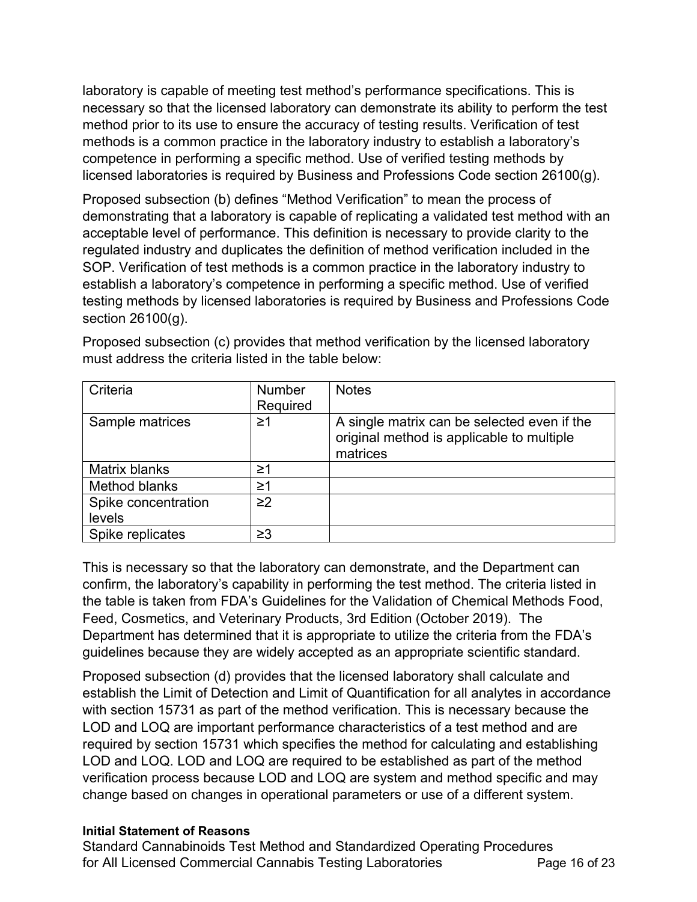laboratory is capable of meeting test method's performance specifications. This is necessary so that the licensed laboratory can demonstrate its ability to perform the test method prior to its use to ensure the accuracy of testing results. Verification of test methods is a common practice in the laboratory industry to establish a laboratory's competence in performing a specific method. Use of verified testing methods by licensed laboratories is required by Business and Professions Code section 26100(g).

 Proposed subsection (b) defines "Method Verification" to mean the process of demonstrating that a laboratory is capable of replicating a validated test method with an acceptable level of performance. This definition is necessary to provide clarity to the regulated industry and duplicates the definition of method verification included in the SOP. Verification of test methods is a common practice in the laboratory industry to establish a laboratory's competence in performing a specific method. Use of verified section 26100(g). testing methods by licensed laboratories is required by Business and Professions Code

| Criteria             | <b>Number</b><br>Required | <b>Notes</b>                                                                                         |
|----------------------|---------------------------|------------------------------------------------------------------------------------------------------|
| Sample matrices      | ≥1                        | A single matrix can be selected even if the<br>original method is applicable to multiple<br>matrices |
| <b>Matrix blanks</b> | ≥1                        |                                                                                                      |
| Method blanks        | ≥1                        |                                                                                                      |
| Spike concentration  | $\geq$ 2                  |                                                                                                      |
| levels               |                           |                                                                                                      |
| Spike replicates     | $\geq$ 3                  |                                                                                                      |

 Proposed subsection (c) provides that method verification by the licensed laboratory must address the criteria listed in the table below:

 This is necessary so that the laboratory can demonstrate, and the Department can confirm, the laboratory's capability in performing the test method. The criteria listed in the table is taken from FDA's Guidelines for the Validation of Chemical Methods Food, Feed, Cosmetics, and Veterinary Products, 3rd Edition (October 2019). The Department has determined that it is appropriate to utilize the criteria from the FDA's guidelines because they are widely accepted as an appropriate scientific standard.

 Proposed subsection (d) provides that the licensed laboratory shall calculate and establish the Limit of Detection and Limit of Quantification for all analytes in accordance with section 15731 as part of the method verification. This is necessary because the LOD and LOQ are important performance characteristics of a test method and are required by section 15731 which specifies the method for calculating and establishing LOD and LOQ. LOD and LOQ are required to be established as part of the method verification process because LOD and LOQ are system and method specific and may change based on changes in operational parameters or use of a different system.

## **Initial Statement of Reasons**

 Standard Cannabinoids Test Method and Standardized Operating Procedures for All Licensed Commercial Cannabis Testing Laboratories **Page 16 of 23**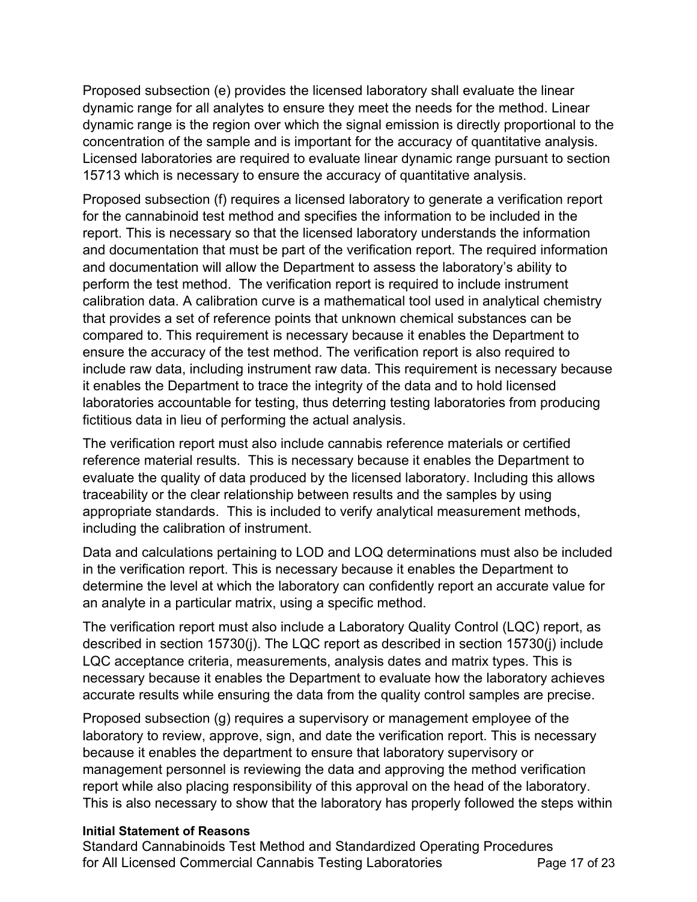Proposed subsection (e) provides the licensed laboratory shall evaluate the linear dynamic range for all analytes to ensure they meet the needs for the method. Linear dynamic range is the region over which the signal emission is directly proportional to the concentration of the sample and is important for the accuracy of quantitative analysis. Licensed laboratories are required to evaluate linear dynamic range pursuant to section 15713 which is necessary to ensure the accuracy of quantitative analysis.

 Proposed subsection (f) requires a licensed laboratory to generate a verification report for the cannabinoid test method and specifies the information to be included in the report. This is necessary so that the licensed laboratory understands the information and documentation that must be part of the verification report. The required information and documentation will allow the Department to assess the laboratory's ability to perform the test method. The verification report is required to include instrument calibration data. A calibration curve is a mathematical tool used in analytical chemistry that provides a set of reference points that unknown chemical substances can be compared to. This requirement is necessary because it enables the Department to ensure the accuracy of the test method. The verification report is also required to include raw data, including instrument raw data. This requirement is necessary because it enables the Department to trace the integrity of the data and to hold licensed laboratories accountable for testing, thus deterring testing laboratories from producing fictitious data in lieu of performing the actual analysis.

 The verification report must also include cannabis reference materials or certified reference material results. This is necessary because it enables the Department to evaluate the quality of data produced by the licensed laboratory. Including this allows traceability or the clear relationship between results and the samples by using appropriate standards. This is included to verify analytical measurement methods, including the calibration of instrument.

 Data and calculations pertaining to LOD and LOQ determinations must also be included in the verification report. This is necessary because it enables the Department to determine the level at which the laboratory can confidently report an accurate value for an analyte in a particular matrix, using a specific method.

 The verification report must also include a Laboratory Quality Control (LQC) report, as described in section 15730(j). The LQC report as described in section 15730(j) include LQC acceptance criteria, measurements, analysis dates and matrix types. This is necessary because it enables the Department to evaluate how the laboratory achieves accurate results while ensuring the data from the quality control samples are precise.

 Proposed subsection (g) requires a supervisory or management employee of the laboratory to review, approve, sign, and date the verification report. This is necessary because it enables the department to ensure that laboratory supervisory or management personnel is reviewing the data and approving the method verification report while also placing responsibility of this approval on the head of the laboratory. This is also necessary to show that the laboratory has properly followed the steps within

## **Initial Statement of Reasons**

 Standard Cannabinoids Test Method and Standardized Operating Procedures for All Licensed Commercial Cannabis Testing Laboratories **Page 17 of 23**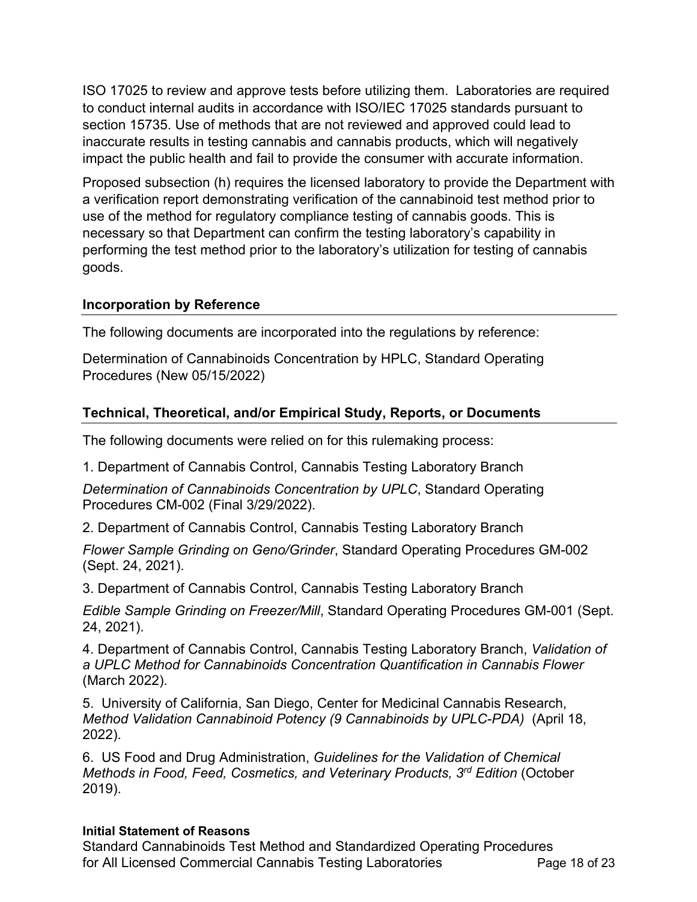ISO 17025 to review and approve tests before utilizing them. Laboratories are required to conduct internal audits in accordance with ISO/IEC 17025 standards pursuant to section 15735. Use of methods that are not reviewed and approved could lead to inaccurate results in testing cannabis and cannabis products, which will negatively impact the public health and fail to provide the consumer with accurate information.

 Proposed subsection (h) requires the licensed laboratory to provide the Department with a verification report demonstrating verification of the cannabinoid test method prior to use of the method for regulatory compliance testing of cannabis goods. This is necessary so that Department can confirm the testing laboratory's capability in performing the test method prior to the laboratory's utilization for testing of cannabis goods.

## **Incorporation by Reference**

The following documents are incorporated into the regulations by reference:

 Determination of Cannabinoids Concentration by HPLC, Standard Operating Procedures (New 05/15/2022)

# **Technical, Theoretical, and/or Empirical Study, Reports, or Documents**

The following documents were relied on for this rulemaking process:

1. Department of Cannabis Control, Cannabis Testing Laboratory Branch

 *Determination of Cannabinoids Concentration by UPLC*, Standard Operating Procedures CM-002 (Final 3/29/2022).

2. Department of Cannabis Control, Cannabis Testing Laboratory Branch

 *Flower Sample Grinding on Geno/Grinder*, Standard Operating Procedures GM-002 (Sept. 24, 2021).

3. Department of Cannabis Control, Cannabis Testing Laboratory Branch

 *Edible Sample Grinding on Freezer/Mill*, Standard Operating Procedures GM-001 (Sept. 24, 2021).

 4. Department of Cannabis Control, Cannabis Testing Laboratory Branch, *Validation of a UPLC Method for Cannabinoids Concentration Quantification in Cannabis Flower*  (March 2022).

 5. University of California, San Diego, Center for Medicinal Cannabis Research,  *Method Validation Cannabinoid Potency (9 Cannabinoids by UPLC-PDA)* (April 18, 2022).

 6. US Food and Drug Administration, *Guidelines for the Validation of Chemical Methods in Food, Feed, Cosmetics, and Veterinary Products, 3rd Edition* (October 2019).

## **Initial Statement of Reasons**

 Standard Cannabinoids Test Method and Standardized Operating Procedures for All Licensed Commercial Cannabis Testing Laboratories **Page 18 of 23**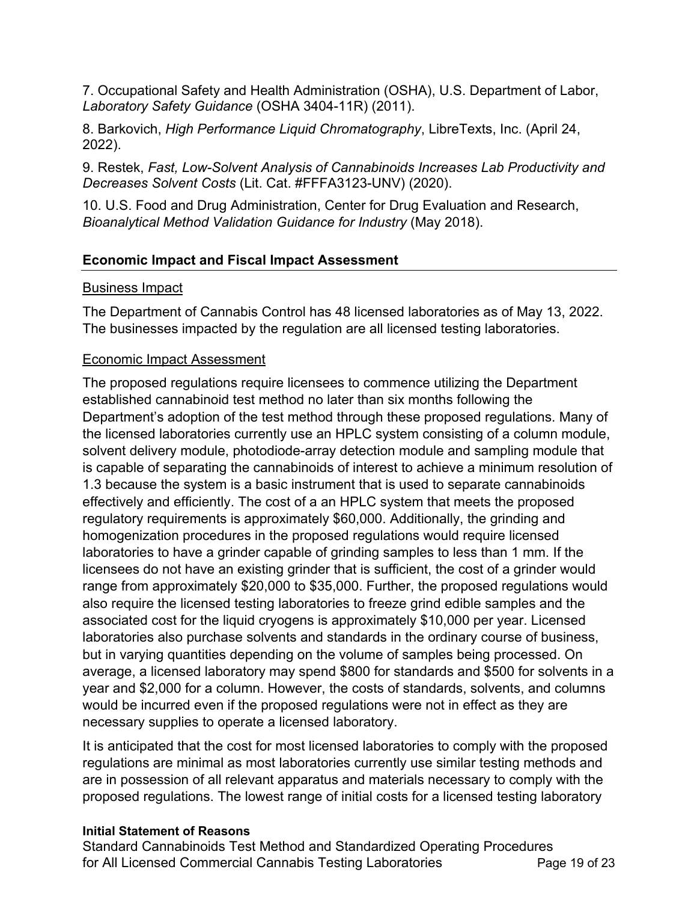7. Occupational Safety and Health Administration (OSHA), U.S. Department of Labor, Laboratory Safety Guidance (OSHA 3404-11R) (2011).

*Laboratory Safety Guidance* (OSHA 3404-11R) (2011).<br>8. Barkovich, *High Performance Liquid Chromatography*, LibreTexts, Inc. (April 24, 2022).

 9. Restek, *Fast, Low-Solvent Analysis of Cannabinoids Increases Lab Productivity and Decreases Solvent Costs* (Lit. Cat. #FFFA3123-UNV) (2020).

 10. U.S. Food and Drug Administration, Center for Drug Evaluation and Research,  *Bioanalytical Method Validation Guidance for Industry* (May 2018).

## **Economic Impact and Fiscal Impact Assessment**

## Business Impact

The Department of Cannabis Control has 48 licensed laboratories as of May 13, 2022. The businesses impacted by the regulation are all licensed testing laboratories.

# Economic Impact Assessment

The proposed regulations require licensees to commence utilizing the Department established cannabinoid test method no later than six months following the Department's adoption of the test method through these proposed regulations. Many of the licensed laboratories currently use an HPLC system consisting of a column module, solvent delivery module, photodiode-array detection module and sampling module that is capable of separating the cannabinoids of interest to achieve a minimum resolution of 1.3 because the system is a basic instrument that is used to separate cannabinoids effectively and efficiently. The cost of a an HPLC system that meets the proposed regulatory requirements is approximately \$60,000. Additionally, the grinding and homogenization procedures in the proposed regulations would require licensed laboratories to have a grinder capable of grinding samples to less than 1 mm. If the licensees do not have an existing grinder that is sufficient, the cost of a grinder would range from approximately \$20,000 to \$35,000. Further, the proposed regulations would also require the licensed testing laboratories to freeze grind edible samples and the associated cost for the liquid cryogens is approximately \$10,000 per year. Licensed laboratories also purchase solvents and standards in the ordinary course of business, but in varying quantities depending on the volume of samples being processed. On average, a licensed laboratory may spend \$800 for standards and \$500 for solvents in a year and \$2,000 for a column. However, the costs of standards, solvents, and columns would be incurred even if the proposed regulations were not in effect as they are necessary supplies to operate a licensed laboratory.

It is anticipated that the cost for most licensed laboratories to comply with the proposed regulations are minimal as most laboratories currently use similar testing methods and are in possession of all relevant apparatus and materials necessary to comply with the proposed regulations. The lowest range of initial costs for a licensed testing laboratory

## **Initial Statement of Reasons**

 Standard Cannabinoids Test Method and Standardized Operating Procedures for All Licensed Commercial Cannabis Testing Laboratories **Page 19 of 23**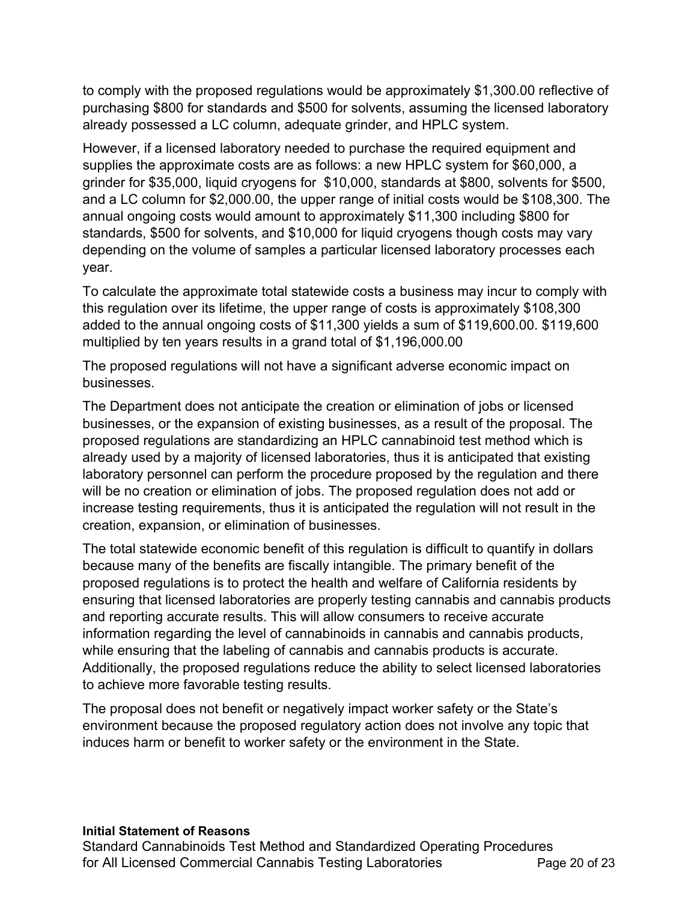to comply with the proposed regulations would be approximately [\\$1,300.00](https://1,300.00) reflective of purchasing \$800 for standards and \$500 for solvents, assuming the licensed laboratory already possessed a LC column, adequate grinder, and HPLC system.

 However, if a licensed laboratory needed to purchase the required equipment and supplies the approximate costs are as follows: a new HPLC system for \$60,000, a grinder for \$35,000, liquid cryogens for \$10,000, standards at \$800, solvents for \$500, and a LC column for \$[2,000.00](https://2,000.00), the upper range of initial costs would be \$108,300. The annual ongoing costs would amount to approximately \$11,300 including \$800 for standards, \$500 for solvents, and \$10,000 for liquid cryogens though costs may vary depending on the volume of samples a particular licensed laboratory processes each year.

year.<br>To calculate the approximate total statewide costs a business may incur to comply with this regulation over its lifetime, the upper range of costs is approximately \$108,300 added to the annual ongoing costs of \$11,300 yields a sum of \$[119,600.00.](https://119,600.00) \$119,600 multiplied by ten years results in a grand total of \$[1,196,000.00](https://1,196,000.00) 

 The proposed regulations will not have a significant adverse economic impact on businesses.

 The Department does not anticipate the creation or elimination of jobs or licensed businesses, or the expansion of existing businesses, as a result of the proposal. The proposed regulations are standardizing an HPLC cannabinoid test method which is already used by a majority of licensed laboratories, thus it is anticipated that existing laboratory personnel can perform the procedure proposed by the regulation and there will be no creation or elimination of jobs. The proposed regulation does not add or increase testing requirements, thus it is anticipated the regulation will not result in the creation, expansion, or elimination of businesses.

 The total statewide economic benefit of this regulation is difficult to quantify in dollars because many of the benefits are fiscally intangible. The primary benefit of the proposed regulations is to protect the health and welfare of California residents by ensuring that licensed laboratories are properly testing cannabis and cannabis products and reporting accurate results. This will allow consumers to receive accurate information regarding the level of cannabinoids in cannabis and cannabis products, while ensuring that the labeling of cannabis and cannabis products is accurate. Additionally, the proposed regulations reduce the ability to select licensed laboratories to achieve more favorable testing results.

 The proposal does not benefit or negatively impact worker safety or the State's environment because the proposed regulatory action does not involve any topic that induces harm or benefit to worker safety or the environment in the State.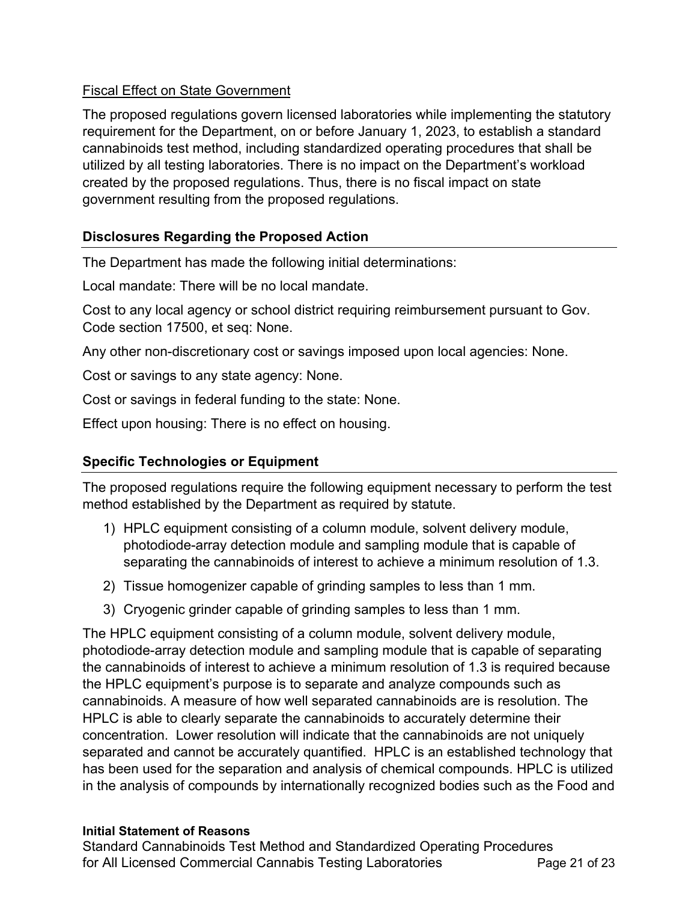## **Fiscal Effect on State Government**

 The proposed regulations govern licensed laboratories while implementing the statutory requirement for the Department, on or before January 1, 2023, to establish a standard cannabinoids test method, including standardized operating procedures that shall be utilized by all testing laboratories. There is no impact on the Department's workload created by the proposed regulations. Thus, there is no fiscal impact on state government resulting from the proposed regulations.

# **Disclosures Regarding the Proposed Action**

The Department has made the following initial determinations:

Local mandate: There will be no local mandate.

 Cost to any local agency or school district requiring reimbursement pursuant to Gov. Code section 17500, et seq: None.

Any other non-discretionary cost or savings imposed upon local agencies: None.

Cost or savings to any state agency: None.

Cost or savings in federal funding to the state: None.

Effect upon housing: There is no effect on housing.

# **Specific Technologies or Equipment**

 The proposed regulations require the following equipment necessary to perform the test method established by the Department as required by statute.

- 1) HPLC equipment consisting of a column module, solvent delivery module, photodiode-array detection module and sampling module that is capable of separating the cannabinoids of interest to achieve a minimum resolution of 1.3.
- 2) Tissue homogenizer capable of grinding samples to less than 1 mm.
- 3) Cryogenic grinder capable of grinding samples to less than 1 mm.

 The HPLC equipment consisting of a column module, solvent delivery module, photodiode-array detection module and sampling module that is capable of separating the cannabinoids of interest to achieve a minimum resolution of 1.3 is required because the HPLC equipment's purpose is to separate and analyze compounds such as cannabinoids. A measure of how well separated cannabinoids are is resolution. The HPLC is able to clearly separate the cannabinoids to accurately determine their concentration. Lower resolution will indicate that the cannabinoids are not uniquely separated and cannot be accurately quantified. HPLC is an established technology that has been used for the separation and analysis of chemical compounds. HPLC is utilized in the analysis of compounds by internationally recognized bodies such as the Food and

## **Initial Statement of Reasons**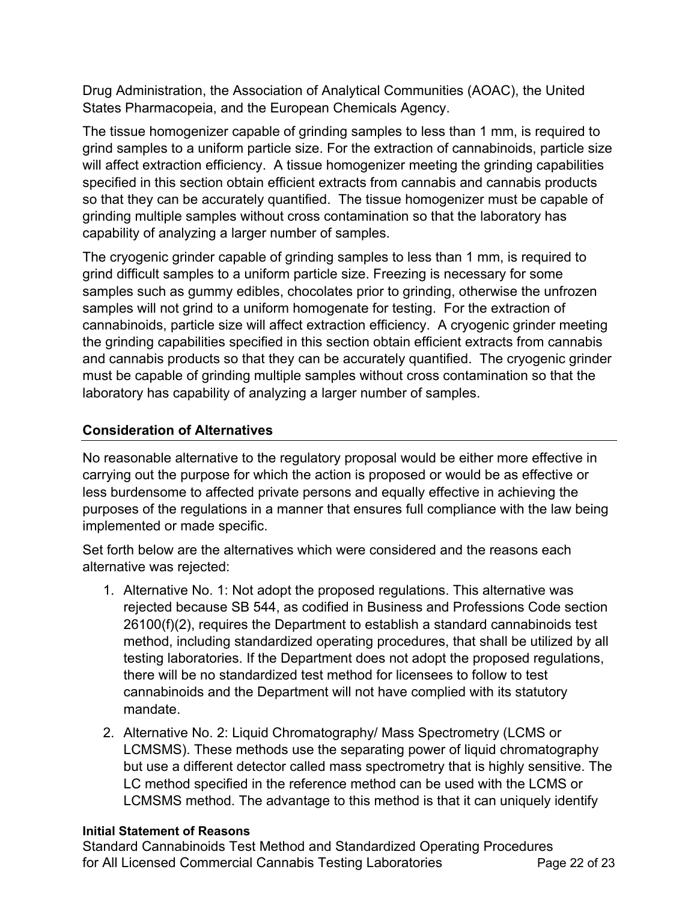Drug Administration, the Association of Analytical Communities (AOAC), the United States Pharmacopeia, and the European Chemicals Agency.

 The tissue homogenizer capable of grinding samples to less than 1 mm, is required to grind samples to a uniform particle size. For the extraction of cannabinoids, particle size will affect extraction efficiency. A tissue homogenizer meeting the grinding capabilities specified in this section obtain efficient extracts from cannabis and cannabis products so that they can be accurately quantified. The tissue homogenizer must be capable of grinding multiple samples without cross contamination so that the laboratory has capability of analyzing a larger number of samples.

 The cryogenic grinder capable of grinding samples to less than 1 mm, is required to grind difficult samples to a uniform particle size. Freezing is necessary for some samples such as gummy edibles, chocolates prior to grinding, otherwise the unfrozen samples will not grind to a uniform homogenate for testing. For the extraction of cannabinoids, particle size will affect extraction efficiency. A cryogenic grinder meeting the grinding capabilities specified in this section obtain efficient extracts from cannabis and cannabis products so that they can be accurately quantified. The cryogenic grinder must be capable of grinding multiple samples without cross contamination so that the laboratory has capability of analyzing a larger number of samples.

# **Consideration of Alternatives**

 No reasonable alternative to the regulatory proposal would be either more effective in carrying out the purpose for which the action is proposed or would be as effective or less burdensome to affected private persons and equally effective in achieving the purposes of the regulations in a manner that ensures full compliance with the law being implemented or made specific.

 Set forth below are the alternatives which were considered and the reasons each alternative was rejected:

- 1. Alternative No. 1: Not adopt the proposed regulations. This alternative was rejected because SB 544, as codified in Business and Professions Code section 26100(f)(2), requires the Department to establish a standard cannabinoids test method, including standardized operating procedures, that shall be utilized by all testing laboratories. If the Department does not adopt the proposed regulations, there will be no standardized test method for licensees to follow to test cannabinoids and the Department will not have complied with its statutory mandate.
- 2. Alternative No. 2: Liquid Chromatography/ Mass Spectrometry (LCMS or LCMSMS). These methods use the separating power of liquid chromatography but use a different detector called mass spectrometry that is highly sensitive. The LC method specified in the reference method can be used with the LCMS or LCMSMS method. The advantage to this method is that it can uniquely identify

## **Initial Statement of Reasons**

 Standard Cannabinoids Test Method and Standardized Operating Procedures for All Licensed Commercial Cannabis Testing Laboratories **Page 22 of 23**